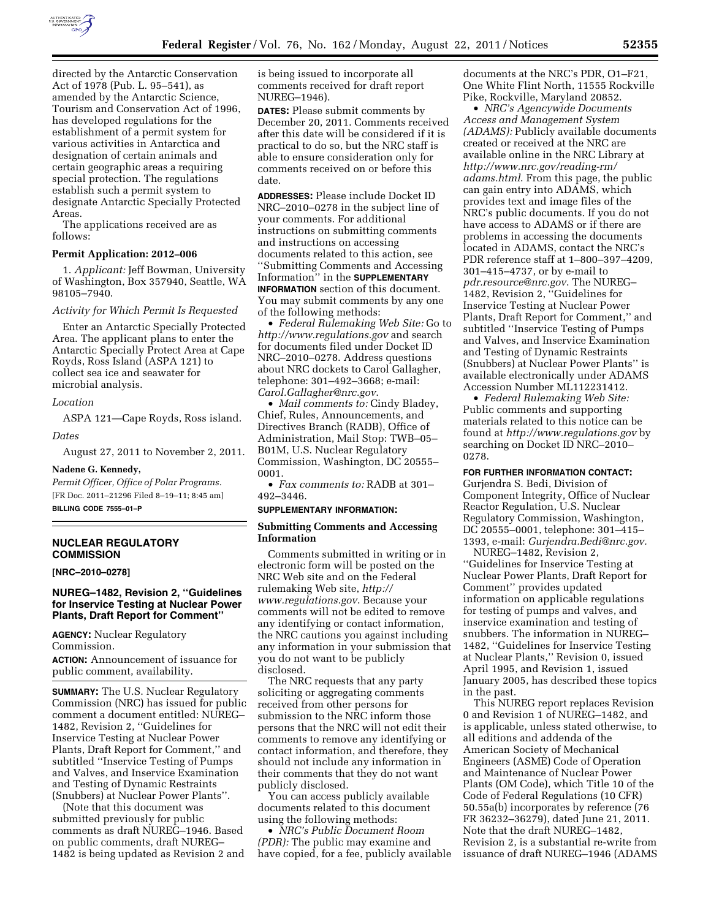

directed by the Antarctic Conservation Act of 1978 (Pub. L. 95–541), as amended by the Antarctic Science, Tourism and Conservation Act of 1996, has developed regulations for the establishment of a permit system for various activities in Antarctica and designation of certain animals and certain geographic areas a requiring special protection. The regulations establish such a permit system to designate Antarctic Specially Protected Areas.

The applications received are as follows:

## **Permit Application: 2012–006**

1. *Applicant:* Jeff Bowman, University of Washington, Box 357940, Seattle, WA 98105–7940.

## *Activity for Which Permit Is Requested*

Enter an Antarctic Specially Protected Area. The applicant plans to enter the Antarctic Specially Protect Area at Cape Royds, Ross Island (ASPA 121) to collect sea ice and seawater for microbial analysis.

## *Location*

ASPA 121—Cape Royds, Ross island.

#### *Dates*

August 27, 2011 to November 2, 2011.

#### **Nadene G. Kennedy,**

*Permit Officer, Office of Polar Programs.*  [FR Doc. 2011–21296 Filed 8–19–11; 8:45 am] **BILLING CODE 7555–01–P** 

# **NUCLEAR REGULATORY COMMISSION**

**[NRC–2010–0278]** 

## **NUREG–1482, Revision 2, ''Guidelines for Inservice Testing at Nuclear Power Plants, Draft Report for Comment''**

**AGENCY:** Nuclear Regulatory Commission.

**ACTION:** Announcement of issuance for public comment, availability.

**SUMMARY:** The U.S. Nuclear Regulatory Commission (NRC) has issued for public comment a document entitled: NUREG– 1482, Revision 2, ''Guidelines for Inservice Testing at Nuclear Power Plants, Draft Report for Comment,'' and subtitled ''Inservice Testing of Pumps and Valves, and Inservice Examination and Testing of Dynamic Restraints (Snubbers) at Nuclear Power Plants''.

(Note that this document was submitted previously for public comments as draft NUREG–1946. Based on public comments, draft NUREG– 1482 is being updated as Revision 2 and is being issued to incorporate all comments received for draft report NUREG–1946).

**DATES:** Please submit comments by December 20, 2011. Comments received after this date will be considered if it is practical to do so, but the NRC staff is able to ensure consideration only for comments received on or before this date.

**ADDRESSES:** Please include Docket ID NRC–2010–0278 in the subject line of your comments. For additional instructions on submitting comments and instructions on accessing documents related to this action, see ''Submitting Comments and Accessing Information'' in the **SUPPLEMENTARY INFORMATION** section of this document. You may submit comments by any one of the following methods:

• *Federal Rulemaking Web Site:* Go to *<http://www.regulations.gov>* and search for documents filed under Docket ID NRC–2010–0278. Address questions about NRC dockets to Carol Gallagher, telephone: 301–492–3668; e-mail: *[Carol.Gallagher@nrc.gov](mailto:Carol.Gallagher@nrc.gov)*.

• *Mail comments to:* Cindy Bladey, Chief, Rules, Announcements, and Directives Branch (RADB), Office of Administration, Mail Stop: TWB–05– B01M, U.S. Nuclear Regulatory Commission, Washington, DC 20555– 0001.

• *Fax comments to:* RADB at 301– 492–3446.

# **SUPPLEMENTARY INFORMATION:**

## **Submitting Comments and Accessing Information**

Comments submitted in writing or in electronic form will be posted on the NRC Web site and on the Federal rulemaking Web site, *[http://](http://www.regulations.gov) [www.regulations.gov](http://www.regulations.gov)*. Because your comments will not be edited to remove any identifying or contact information, the NRC cautions you against including any information in your submission that you do not want to be publicly disclosed.

The NRC requests that any party soliciting or aggregating comments received from other persons for submission to the NRC inform those persons that the NRC will not edit their comments to remove any identifying or contact information, and therefore, they should not include any information in their comments that they do not want publicly disclosed.

You can access publicly available documents related to this document using the following methods:

• *NRC's Public Document Room (PDR):* The public may examine and have copied, for a fee, publicly available documents at the NRC's PDR, O1–F21, One White Flint North, 11555 Rockville Pike, Rockville, Maryland 20852.

• *NRC's Agencywide Documents Access and Management System (ADAMS):* Publicly available documents created or received at the NRC are available online in the NRC Library at *[http://www.nrc.gov/reading-rm/](http://www.nrc.gov/reading-rm/adams.html)  [adams.html](http://www.nrc.gov/reading-rm/adams.html)*. From this page, the public can gain entry into ADAMS, which provides text and image files of the NRC's public documents. If you do not have access to ADAMS or if there are problems in accessing the documents located in ADAMS, contact the NRC's PDR reference staff at 1–800–397–4209, 301–415–4737, or by e-mail to *[pdr.resource@nrc.gov](mailto:pdr.resource@nrc.gov)*. The NUREG– 1482, Revision 2, ''Guidelines for Inservice Testing at Nuclear Power Plants, Draft Report for Comment,'' and subtitled ''Inservice Testing of Pumps and Valves, and Inservice Examination and Testing of Dynamic Restraints (Snubbers) at Nuclear Power Plants'' is available electronically under ADAMS Accession Number ML112231412.

• *Federal Rulemaking Web Site:*  Public comments and supporting materials related to this notice can be found at *<http://www.regulations.gov>* by searching on Docket ID NRC–2010– 0278.

## **FOR FURTHER INFORMATION CONTACT:**

Gurjendra S. Bedi, Division of Component Integrity, Office of Nuclear Reactor Regulation, U.S. Nuclear Regulatory Commission, Washington, DC 20555–0001, telephone: 301–415– 1393, e-mail: *[Gurjendra.Bedi@nrc.gov.](mailto:Gurjendra.Bedi@nrc.gov)* 

NUREG–1482, Revision 2, ''Guidelines for Inservice Testing at Nuclear Power Plants, Draft Report for Comment'' provides updated information on applicable regulations for testing of pumps and valves, and inservice examination and testing of snubbers. The information in NUREG– 1482, ''Guidelines for Inservice Testing at Nuclear Plants,'' Revision 0, issued April 1995, and Revision 1, issued January 2005, has described these topics in the past.

This NUREG report replaces Revision 0 and Revision 1 of NUREG–1482, and is applicable, unless stated otherwise, to all editions and addenda of the American Society of Mechanical Engineers (ASME) Code of Operation and Maintenance of Nuclear Power Plants (OM Code), which Title 10 of the Code of Federal Regulations (10 CFR) 50.55a(b) incorporates by reference (76 FR 36232–36279), dated June 21, 2011. Note that the draft NUREG–1482, Revision 2, is a substantial re-write from issuance of draft NUREG–1946 (ADAMS